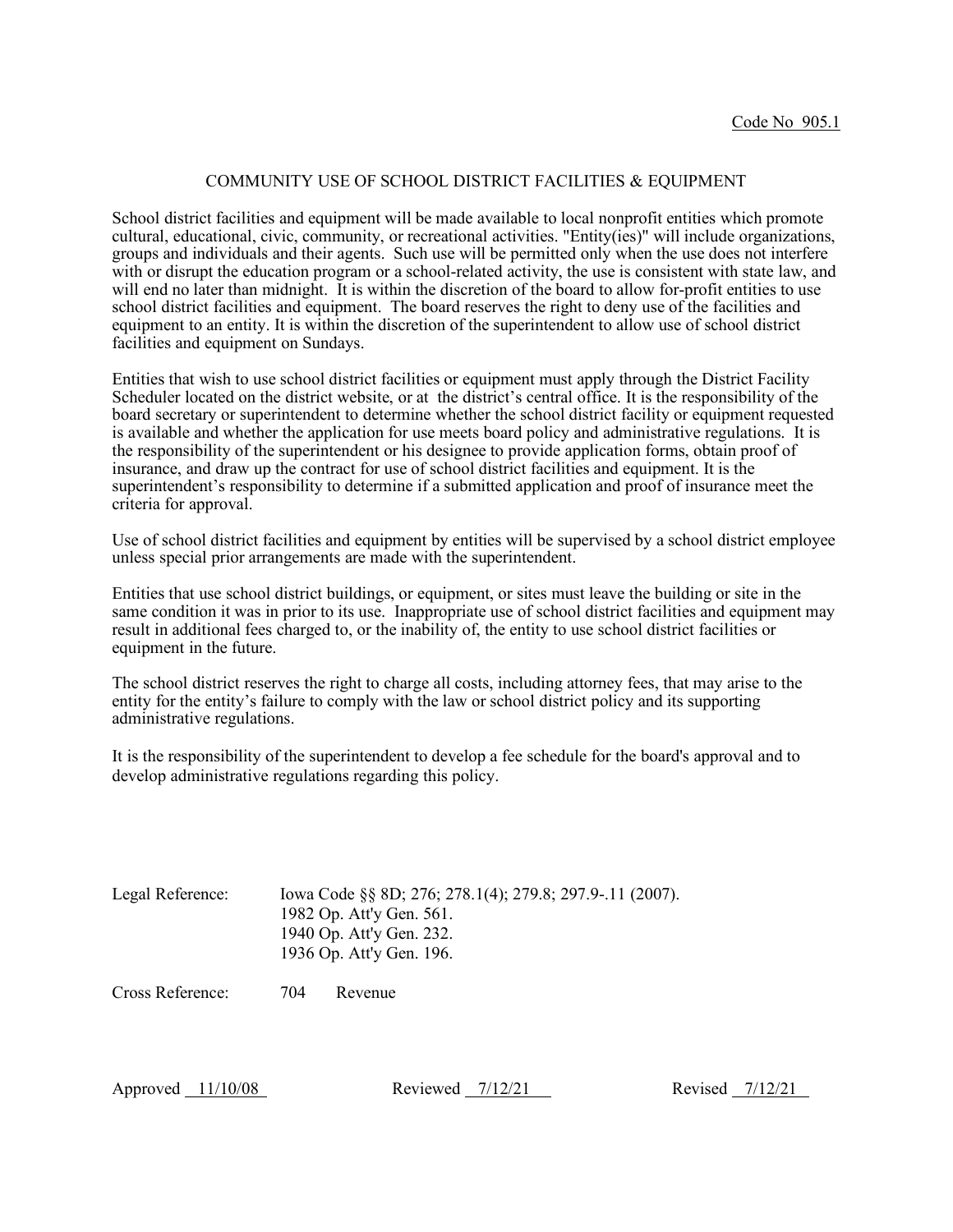#### COMMUNITY USE OF SCHOOL DISTRICT FACILITIES & EQUIPMENT

School district facilities and equipment will be made available to local nonprofit entities which promote cultural, educational, civic, community, or recreational activities. "Entity(ies)" will include organizations, groups and individuals and their agents. Such use will be permitted only when the use does not interfere with or disrupt the education program or a school-related activity, the use is consistent with state law, and will end no later than midnight. It is within the discretion of the board to allow for-profit entities to use school district facilities and equipment. The board reserves the right to deny use of the facilities and equipment to an entity. It is within the discretion of the superintendent to allow use of school district facilities and equipment on Sundays.

Entities that wish to use school district facilities or equipment must apply through the District Facility Scheduler located on the district website, or at the district's central office. It is the responsibility of the board secretary or superintendent to determine whether the school district facility or equipment requested is available and whether the application for use meets board policy and administrative regulations. It is the responsibility of the superintendent or his designee to provide application forms, obtain proof of insurance, and draw up the contract for use of school district facilities and equipment. It is the superintendent's responsibility to determine if a submitted application and proof of insurance meet the criteria for approval.

Use of school district facilities and equipment by entities will be supervised by a school district employee unless special prior arrangements are made with the superintendent.

Entities that use school district buildings, or equipment, or sites must leave the building or site in the same condition it was in prior to its use. Inappropriate use of school district facilities and equipment may result in additional fees charged to, or the inability of, the entity to use school district facilities or equipment in the future.

The school district reserves the right to charge all costs, including attorney fees, that may arise to the entity for the entity's failure to comply with the law or school district policy and its supporting administrative regulations.

It is the responsibility of the superintendent to develop a fee schedule for the board's approval and to develop administrative regulations regarding this policy.

| Legal Reference: | Iowa Code §§ 8D; 276; 278.1(4); 279.8; 297.9-.11 (2007). |
|------------------|----------------------------------------------------------|
|                  | 1982 Op. Att'y Gen. 561.                                 |
|                  | 1940 Op. Att'y Gen. 232.                                 |
|                  | 1936 Op. Att'y Gen. 196.                                 |

Cross Reference: 704 Revenue

Approved 11/10/08 Reviewed 7/12/21 Revised 7/12/21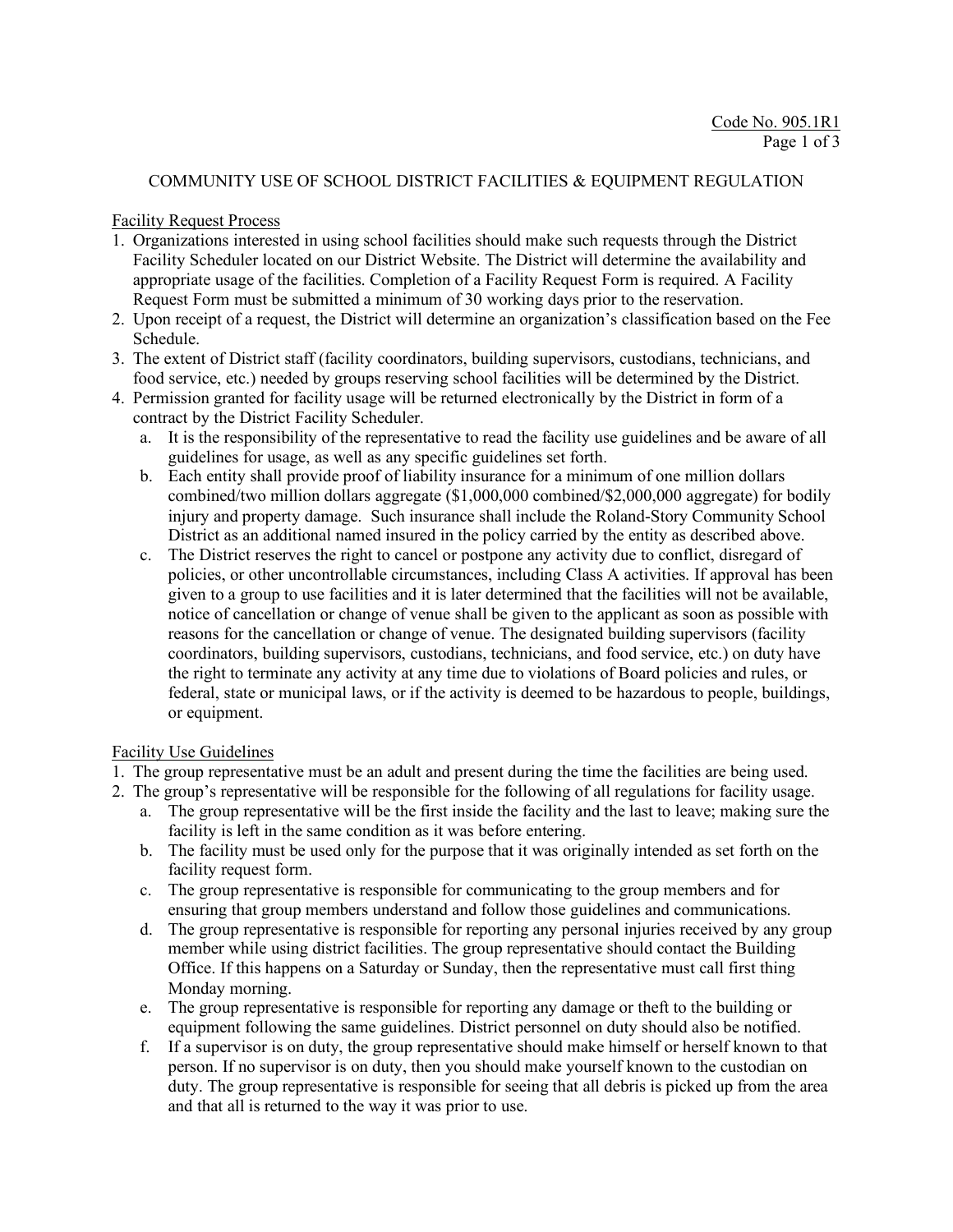# COMMUNITY USE OF SCHOOL DISTRICT FACILITIES & EQUIPMENT REGULATION

## Facility Request Process

- 1. Organizations interested in using school facilities should make such requests through the District Facility Scheduler located on our District Website. The District will determine the availability and appropriate usage of the facilities. Completion of a Facility Request Form is required. A Facility Request Form must be submitted a minimum of 30 working days prior to the reservation.
- 2. Upon receipt of a request, the District will determine an organization's classification based on the Fee Schedule.
- 3. The extent of District staff (facility coordinators, building supervisors, custodians, technicians, and food service, etc.) needed by groups reserving school facilities will be determined by the District.
- 4. Permission granted for facility usage will be returned electronically by the District in form of a contract by the District Facility Scheduler.
	- a. It is the responsibility of the representative to read the facility use guidelines and be aware of all guidelines for usage, as well as any specific guidelines set forth.
	- b. Each entity shall provide proof of liability insurance for a minimum of one million dollars combined/two million dollars aggregate (\$1,000,000 combined/\$2,000,000 aggregate) for bodily injury and property damage. Such insurance shall include the Roland-Story Community School District as an additional named insured in the policy carried by the entity as described above.
	- c. The District reserves the right to cancel or postpone any activity due to conflict, disregard of policies, or other uncontrollable circumstances, including Class A activities. If approval has been given to a group to use facilities and it is later determined that the facilities will not be available, notice of cancellation or change of venue shall be given to the applicant as soon as possible with reasons for the cancellation or change of venue. The designated building supervisors (facility coordinators, building supervisors, custodians, technicians, and food service, etc.) on duty have the right to terminate any activity at any time due to violations of Board policies and rules, or federal, state or municipal laws, or if the activity is deemed to be hazardous to people, buildings, or equipment.

## Facility Use Guidelines

- 1. The group representative must be an adult and present during the time the facilities are being used.
- 2. The group's representative will be responsible for the following of all regulations for facility usage.
	- a. The group representative will be the first inside the facility and the last to leave; making sure the facility is left in the same condition as it was before entering.
	- b. The facility must be used only for the purpose that it was originally intended as set forth on the facility request form.
	- c. The group representative is responsible for communicating to the group members and for ensuring that group members understand and follow those guidelines and communications.
	- d. The group representative is responsible for reporting any personal injuries received by any group member while using district facilities. The group representative should contact the Building Office. If this happens on a Saturday or Sunday, then the representative must call first thing Monday morning.
	- e. The group representative is responsible for reporting any damage or theft to the building or equipment following the same guidelines. District personnel on duty should also be notified.
	- f. If a supervisor is on duty, the group representative should make himself or herself known to that person. If no supervisor is on duty, then you should make yourself known to the custodian on duty. The group representative is responsible for seeing that all debris is picked up from the area and that all is returned to the way it was prior to use.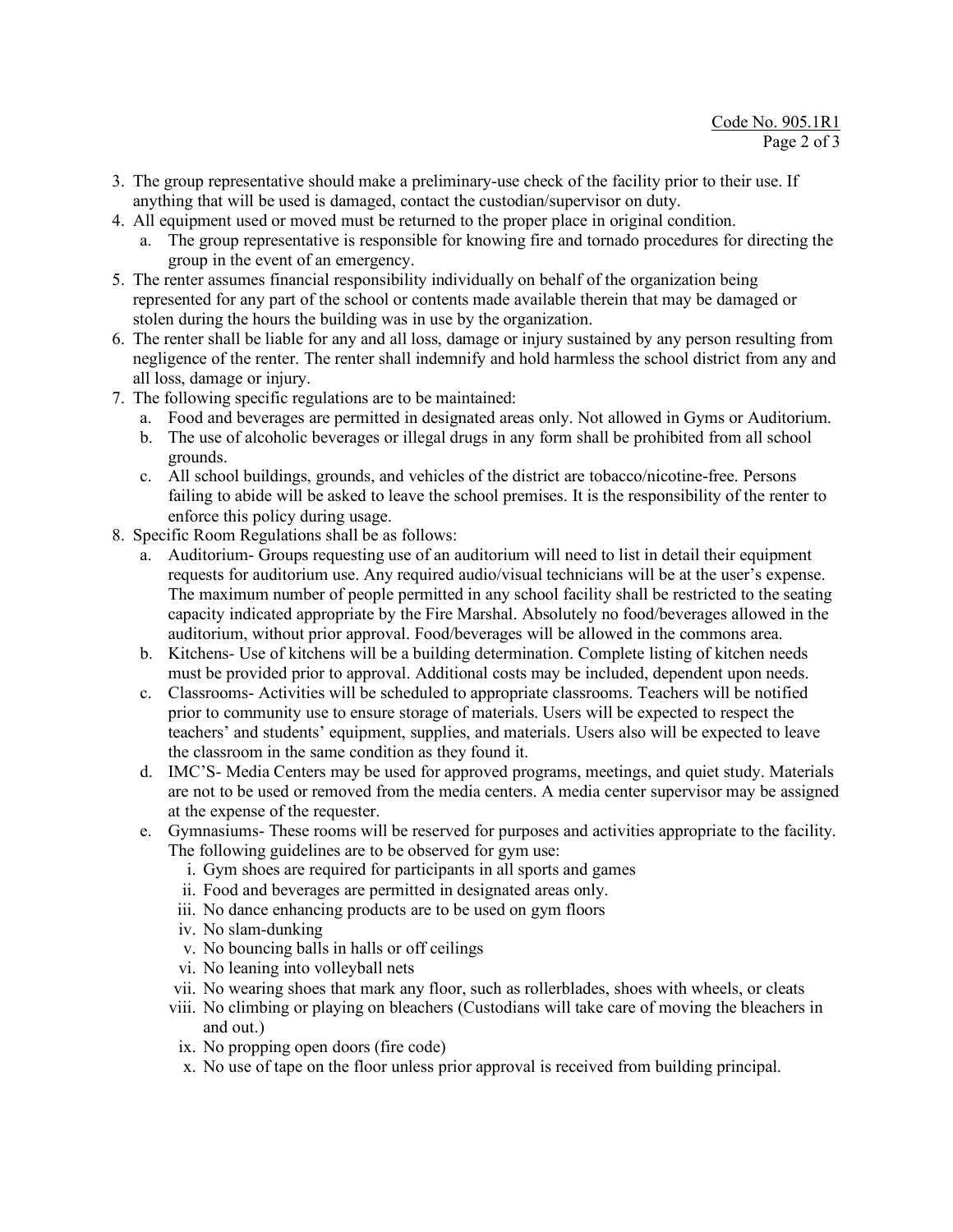- 3. The group representative should make a preliminary-use check of the facility prior to their use. If anything that will be used is damaged, contact the custodian/supervisor on duty.
- 4. All equipment used or moved must be returned to the proper place in original condition.
	- a. The group representative is responsible for knowing fire and tornado procedures for directing the group in the event of an emergency.
- 5. The renter assumes financial responsibility individually on behalf of the organization being represented for any part of the school or contents made available therein that may be damaged or stolen during the hours the building was in use by the organization.
- 6. The renter shall be liable for any and all loss, damage or injury sustained by any person resulting from negligence of the renter. The renter shall indemnify and hold harmless the school district from any and all loss, damage or injury.
- 7. The following specific regulations are to be maintained:
	- a. Food and beverages are permitted in designated areas only. Not allowed in Gyms or Auditorium.
	- b. The use of alcoholic beverages or illegal drugs in any form shall be prohibited from all school grounds.
	- c. All school buildings, grounds, and vehicles of the district are tobacco/nicotine-free. Persons failing to abide will be asked to leave the school premises. It is the responsibility of the renter to enforce this policy during usage.
- 8. Specific Room Regulations shall be as follows:
	- a. Auditorium- Groups requesting use of an auditorium will need to list in detail their equipment requests for auditorium use. Any required audio/visual technicians will be at the user's expense. The maximum number of people permitted in any school facility shall be restricted to the seating capacity indicated appropriate by the Fire Marshal. Absolutely no food/beverages allowed in the auditorium, without prior approval. Food/beverages will be allowed in the commons area.
	- b. Kitchens- Use of kitchens will be a building determination. Complete listing of kitchen needs must be provided prior to approval. Additional costs may be included, dependent upon needs.
	- c. Classrooms- Activities will be scheduled to appropriate classrooms. Teachers will be notified prior to community use to ensure storage of materials. Users will be expected to respect the teachers' and students' equipment, supplies, and materials. Users also will be expected to leave the classroom in the same condition as they found it.
	- d. IMC'S- Media Centers may be used for approved programs, meetings, and quiet study. Materials are not to be used or removed from the media centers. A media center supervisor may be assigned at the expense of the requester.
	- e. Gymnasiums- These rooms will be reserved for purposes and activities appropriate to the facility. The following guidelines are to be observed for gym use:
		- i. Gym shoes are required for participants in all sports and games
		- ii. Food and beverages are permitted in designated areas only.
		- iii. No dance enhancing products are to be used on gym floors
		- iv. No slam-dunking
		- v. No bouncing balls in halls or off ceilings
		- vi. No leaning into volleyball nets
		- vii. No wearing shoes that mark any floor, such as rollerblades, shoes with wheels, or cleats
		- viii. No climbing or playing on bleachers (Custodians will take care of moving the bleachers in and out.)
		- ix. No propping open doors (fire code)
		- x. No use of tape on the floor unless prior approval is received from building principal.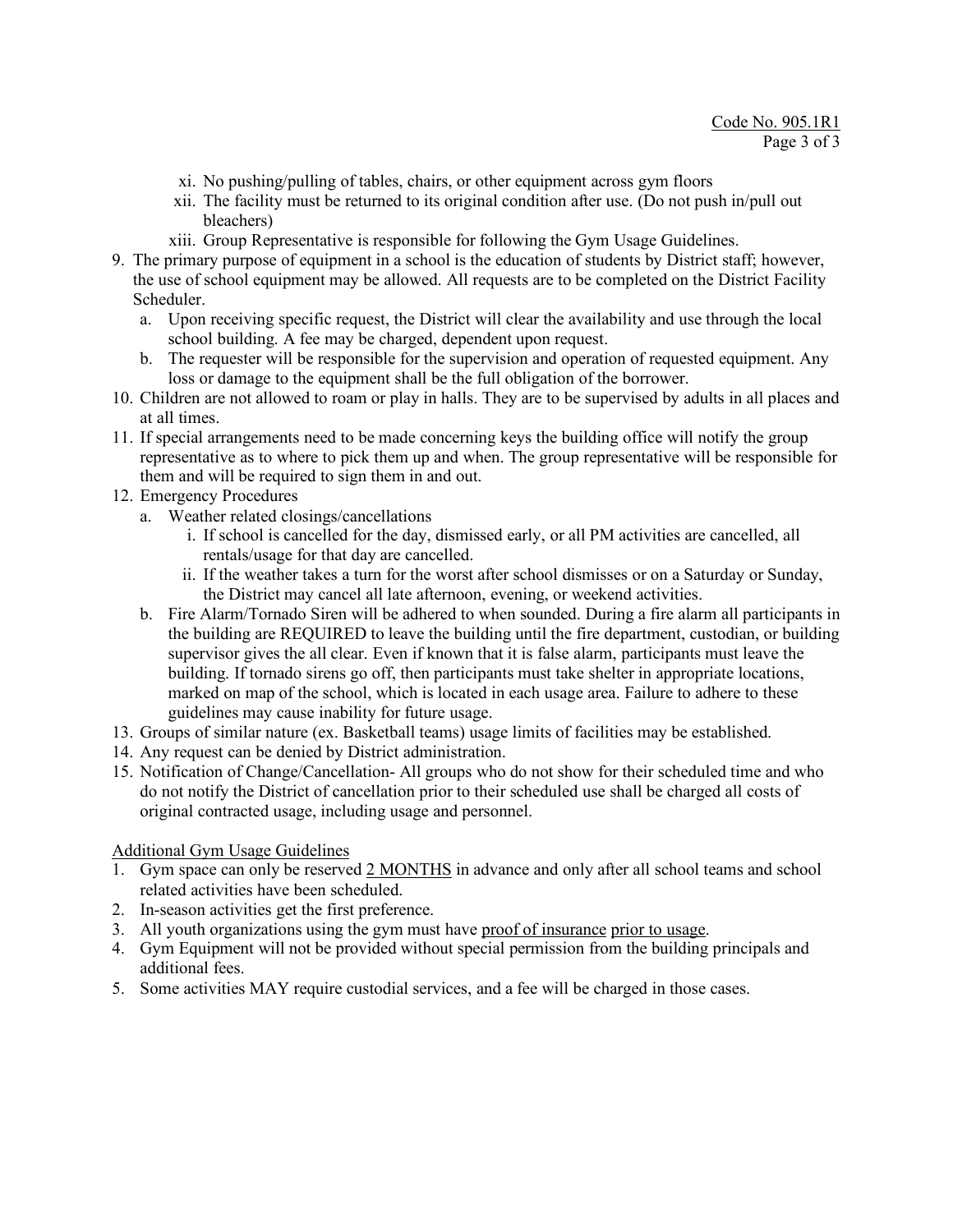- xi. No pushing/pulling of tables, chairs, or other equipment across gym floors
- xii. The facility must be returned to its original condition after use. (Do not push in/pull out bleachers)
- xiii. Group Representative is responsible for following the Gym Usage Guidelines.
- 9. The primary purpose of equipment in a school is the education of students by District staff; however, the use of school equipment may be allowed. All requests are to be completed on the District Facility Scheduler.
	- a. Upon receiving specific request, the District will clear the availability and use through the local school building. A fee may be charged, dependent upon request.
	- b. The requester will be responsible for the supervision and operation of requested equipment. Any loss or damage to the equipment shall be the full obligation of the borrower.
- 10. Children are not allowed to roam or play in halls. They are to be supervised by adults in all places and at all times.
- 11. If special arrangements need to be made concerning keys the building office will notify the group representative as to where to pick them up and when. The group representative will be responsible for them and will be required to sign them in and out.
- 12. Emergency Procedures
	- a. Weather related closings/cancellations
		- i. If school is cancelled for the day, dismissed early, or all PM activities are cancelled, all rentals/usage for that day are cancelled.
		- ii. If the weather takes a turn for the worst after school dismisses or on a Saturday or Sunday, the District may cancel all late afternoon, evening, or weekend activities.
	- b. Fire Alarm/Tornado Siren will be adhered to when sounded. During a fire alarm all participants in the building are REQUIRED to leave the building until the fire department, custodian, or building supervisor gives the all clear. Even if known that it is false alarm, participants must leave the building. If tornado sirens go off, then participants must take shelter in appropriate locations, marked on map of the school, which is located in each usage area. Failure to adhere to these guidelines may cause inability for future usage.
- 13. Groups of similar nature (ex. Basketball teams) usage limits of facilities may be established.
- 14. Any request can be denied by District administration.
- 15. Notification of Change/Cancellation- All groups who do not show for their scheduled time and who do not notify the District of cancellation prior to their scheduled use shall be charged all costs of original contracted usage, including usage and personnel.

## Additional Gym Usage Guidelines

- 1. Gym space can only be reserved 2 MONTHS in advance and only after all school teams and school related activities have been scheduled.
- 2. In-season activities get the first preference.
- 3. All youth organizations using the gym must have proof of insurance prior to usage.
- 4. Gym Equipment will not be provided without special permission from the building principals and additional fees.
- 5. Some activities MAY require custodial services, and a fee will be charged in those cases.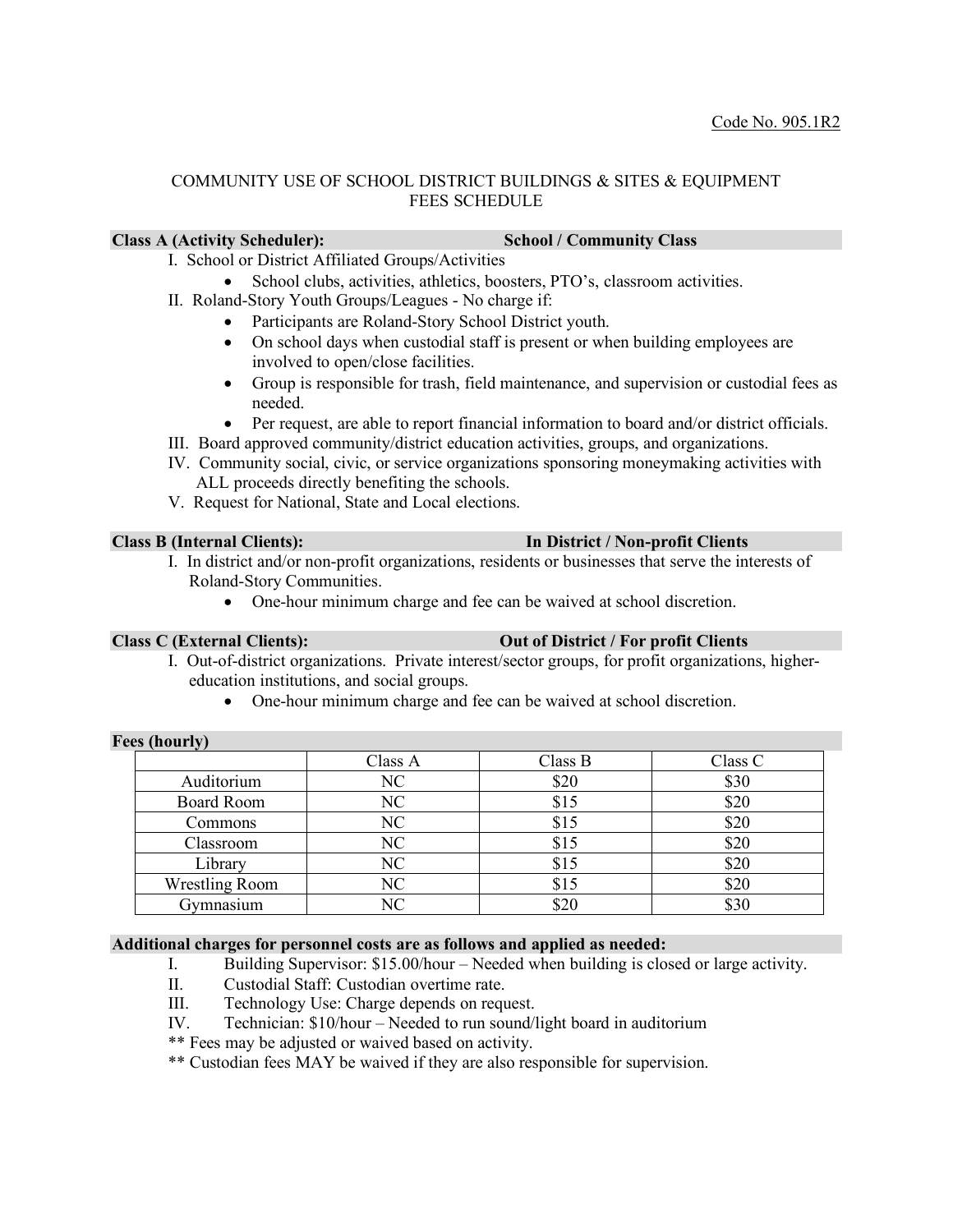## COMMUNITY USE OF SCHOOL DISTRICT BUILDINGS & SITES & EQUIPMENT FEES SCHEDULE

#### **Class A (Activity Scheduler): School / Community Class**

- I. School or District Affiliated Groups/Activities
- School clubs, activities, athletics, boosters, PTO's, classroom activities.
- II. Roland-Story Youth Groups/Leagues No charge if:
	- Participants are Roland-Story School District youth.
	- On school days when custodial staff is present or when building employees are involved to open/close facilities.
	- Group is responsible for trash, field maintenance, and supervision or custodial fees as needed.
	- Per request, are able to report financial information to board and/or district officials.
- III. Board approved community/district education activities, groups, and organizations.
- IV. Community social, civic, or service organizations sponsoring moneymaking activities with ALL proceeds directly benefiting the schools.
- V. Request for National, State and Local elections.

- I. In district and/or non-profit organizations, residents or businesses that serve the interests of Roland-Story Communities.
	- One-hour minimum charge and fee can be waived at school discretion.

## **Class C (External Clients): Out of District / For profit Clients**

- I. Out-of-district organizations. Private interest/sector groups, for profit organizations, highereducation institutions, and social groups.
	- One-hour minimum charge and fee can be waived at school discretion.

## **Fees (hourly)**

|                       | Class A | Class B | Class C |
|-----------------------|---------|---------|---------|
| Auditorium            | NC      | \$20    | \$30    |
| Board Room            | NC      | \$15    | \$20    |
| Commons               | NC      | \$15    | \$20    |
| Classroom             | NC      | \$15    | \$20    |
| Library               | NC      | \$15    | \$20    |
| <b>Wrestling Room</b> | NC      | \$15    | \$20    |
| Gymnasium             | NC      | \$20    | \$30    |

## **Additional charges for personnel costs are as follows and applied as needed:**

- I. Building Supervisor: \$15.00/hour Needed when building is closed or large activity.
- II. Custodial Staff: Custodian overtime rate.
- III. Technology Use: Charge depends on request.
- IV. Technician: \$10/hour Needed to run sound/light board in auditorium
- \*\* Fees may be adjusted or waived based on activity.
- \*\* Custodian fees MAY be waived if they are also responsible for supervision.

### **Class B (Internal Clients): In District / Non-profit Clients**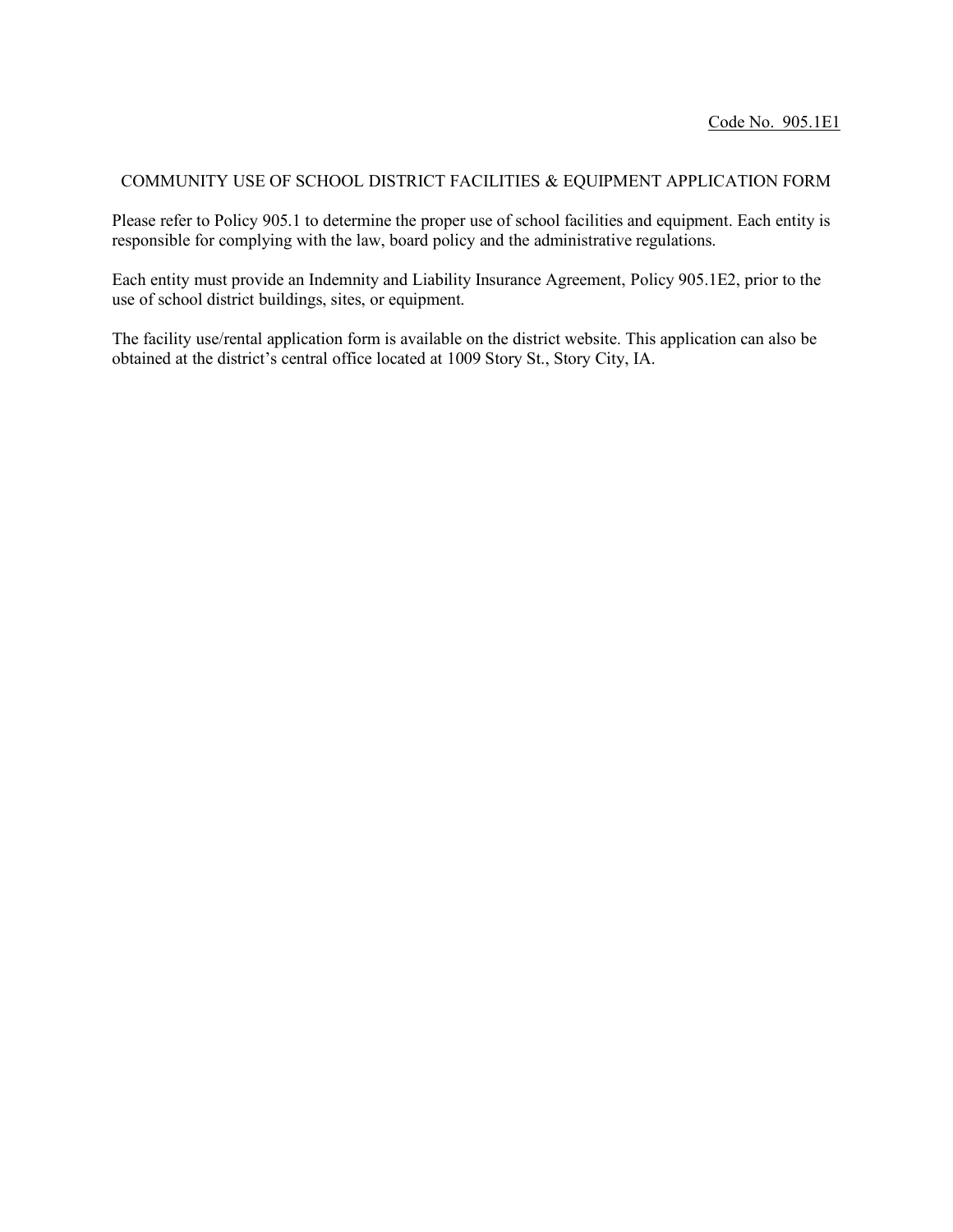# COMMUNITY USE OF SCHOOL DISTRICT FACILITIES & EQUIPMENT APPLICATION FORM

Please refer to Policy 905.1 to determine the proper use of school facilities and equipment. Each entity is responsible for complying with the law, board policy and the administrative regulations.

Each entity must provide an Indemnity and Liability Insurance Agreement, Policy 905.1E2, prior to the use of school district buildings, sites, or equipment.

The facility use/rental application form is available on the district website. This application can also be obtained at the district's central office located at 1009 Story St., Story City, IA.